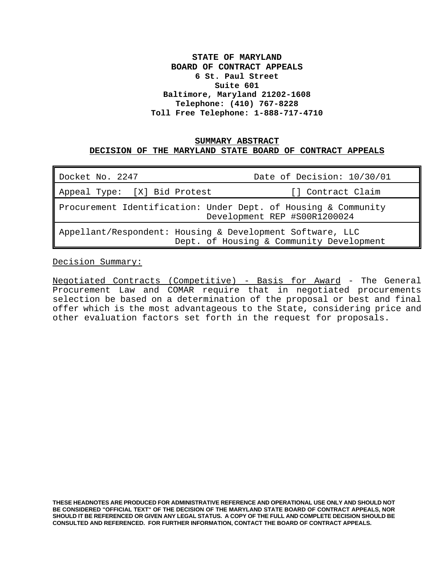# **STATE OF MARYLAND BOARD OF CONTRACT APPEALS 6 St. Paul Street Suite 601 Baltimore, Maryland 21202-1608 Telephone: (410) 767-8228 Toll Free Telephone: 1-888-717-4710**

## **SUMMARY ABSTRACT DECISION OF THE MARYLAND STATE BOARD OF CONTRACT APPEALS**

| Docket No. 2247                                                                                       | Date of Decision: 10/30/01 |  |
|-------------------------------------------------------------------------------------------------------|----------------------------|--|
| Appeal Type: [X] Bid Protest                                                                          | [] Contract Claim          |  |
| Procurement Identification: Under Dept. of Housing & Community<br>Development REP #S00R1200024        |                            |  |
| Appellant/Respondent: Housing & Development Software, LLC<br>Dept. of Housing & Community Development |                            |  |

Decision Summary:

Negotiated Contracts (Competitive) - Basis for Award - The General Procurement Law and COMAR require that in negotiated procurements selection be based on a determination of the proposal or best and final offer which is the most advantageous to the State, considering price and other evaluation factors set forth in the request for proposals.

**THESE HEADNOTES ARE PRODUCED FOR ADMINISTRATIVE REFERENCE AND OPERATIONAL USE ONLY AND SHOULD NOT BE CONSIDERED "OFFICIAL TEXT" OF THE DECISION OF THE MARYLAND STATE BOARD OF CONTRACT APPEALS, NOR SHOULD IT BE REFERENCED OR GIVEN ANY LEGAL STATUS. A COPY OF THE FULL AND COMPLETE DECISION SHOULD BE CONSULTED AND REFERENCED. FOR FURTHER INFORMATION, CONTACT THE BOARD OF CONTRACT APPEALS.**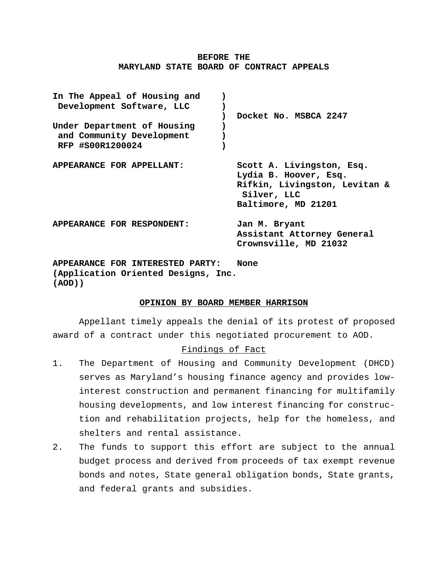### **BEFORE THE MARYLAND STATE BOARD OF CONTRACT APPEALS**

| In The Appeal of Housing and<br>Development Software, LLC<br>Under Department of Housing<br>and Community Development<br>RFP #S00R1200024 | Docket No. MSBCA 2247                                                                                                     |
|-------------------------------------------------------------------------------------------------------------------------------------------|---------------------------------------------------------------------------------------------------------------------------|
|                                                                                                                                           |                                                                                                                           |
| APPEARANCE FOR APPELLANT:                                                                                                                 | Scott A. Livingston, Esq.<br>Lydia B. Hoover, Esq.<br>Rifkin, Livingston, Levitan &<br>Silver, LLC<br>Baltimore, MD 21201 |
| APPEARANCE FOR RESPONDENT:                                                                                                                | Jan M. Bryant<br>Assistant Attorney General<br>Crownsville, MD 21032                                                      |
| APPEARANCE FOR INTERESTED PARTY:<br>(Application Oriented Designs, Inc.<br>(AOD)                                                          | None                                                                                                                      |

**OPINION BY BOARD MEMBER HARRISON**

Appellant timely appeals the denial of its protest of proposed award of a contract under this negotiated procurement to AOD.

### Findings of Fact

- 1. The Department of Housing and Community Development (DHCD) serves as Maryland's housing finance agency and provides lowinterest construction and permanent financing for multifamily housing developments, and low interest financing for construction and rehabilitation projects, help for the homeless, and shelters and rental assistance.
- 2. The funds to support this effort are subject to the annual budget process and derived from proceeds of tax exempt revenue bonds and notes, State general obligation bonds, State grants, and federal grants and subsidies.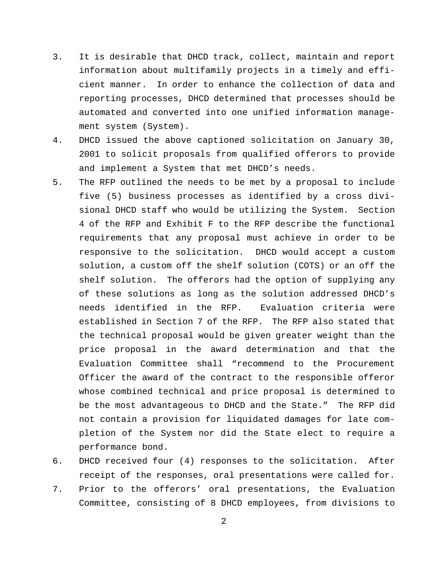- 3. It is desirable that DHCD track, collect, maintain and report information about multifamily projects in a timely and efficient manner. In order to enhance the collection of data and reporting processes, DHCD determined that processes should be automated and converted into one unified information management system (System).
- 4. DHCD issued the above captioned solicitation on January 30, 2001 to solicit proposals from qualified offerors to provide and implement a System that met DHCD's needs.
- 5. The RFP outlined the needs to be met by a proposal to include five (5) business processes as identified by a cross divisional DHCD staff who would be utilizing the System. Section 4 of the RFP and Exhibit F to the RFP describe the functional requirements that any proposal must achieve in order to be responsive to the solicitation. DHCD would accept a custom solution, a custom off the shelf solution (COTS) or an off the shelf solution. The offerors had the option of supplying any of these solutions as long as the solution addressed DHCD's needs identified in the RFP. Evaluation criteria were established in Section 7 of the RFP. The RFP also stated that the technical proposal would be given greater weight than the price proposal in the award determination and that the Evaluation Committee shall "recommend to the Procurement Officer the award of the contract to the responsible offeror whose combined technical and price proposal is determined to be the most advantageous to DHCD and the State." The RFP did not contain a provision for liquidated damages for late completion of the System nor did the State elect to require a performance bond.
- 6. DHCD received four (4) responses to the solicitation. After receipt of the responses, oral presentations were called for.
- 7. Prior to the offerors' oral presentations, the Evaluation Committee, consisting of 8 DHCD employees, from divisions to

2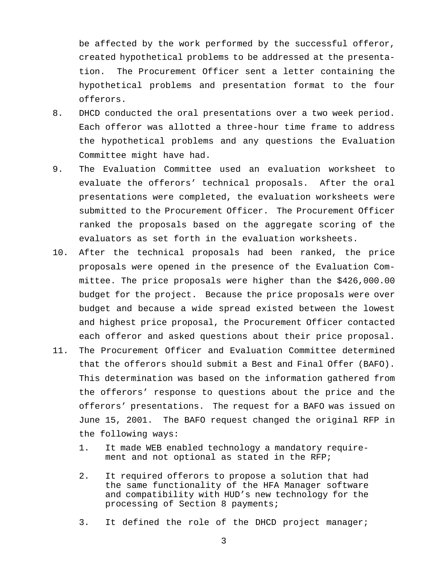be affected by the work performed by the successful offeror, created hypothetical problems to be addressed at the presentation. The Procurement Officer sent a letter containing the hypothetical problems and presentation format to the four offerors.

- 8. DHCD conducted the oral presentations over a two week period. Each offeror was allotted a three-hour time frame to address the hypothetical problems and any questions the Evaluation Committee might have had.
- 9. The Evaluation Committee used an evaluation worksheet to evaluate the offerors' technical proposals. After the oral presentations were completed, the evaluation worksheets were submitted to the Procurement Officer. The Procurement Officer ranked the proposals based on the aggregate scoring of the evaluators as set forth in the evaluation worksheets.
- 10. After the technical proposals had been ranked, the price proposals were opened in the presence of the Evaluation Committee. The price proposals were higher than the \$426,000.00 budget for the project. Because the price proposals were over budget and because a wide spread existed between the lowest and highest price proposal, the Procurement Officer contacted each offeror and asked questions about their price proposal.
- 11. The Procurement Officer and Evaluation Committee determined that the offerors should submit a Best and Final Offer (BAFO). This determination was based on the information gathered from the offerors' response to questions about the price and the offerors' presentations. The request for a BAFO was issued on June 15, 2001. The BAFO request changed the original RFP in the following ways:
	- 1. It made WEB enabled technology a mandatory requirement and not optional as stated in the RFP;
	- 2. It required offerors to propose a solution that had the same functionality of the HFA Manager software and compatibility with HUD's new technology for the processing of Section 8 payments;
	- 3. It defined the role of the DHCD project manager;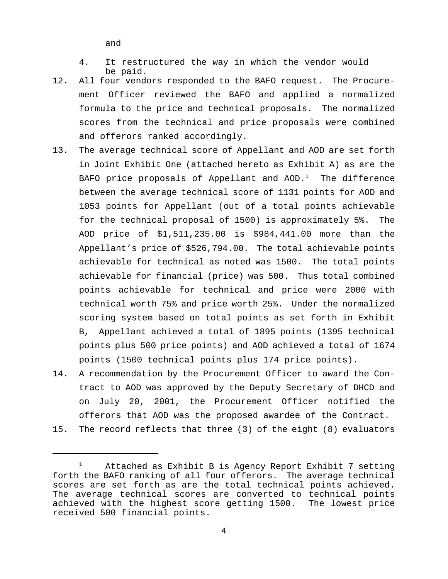and

- 4. It restructured the way in which the vendor would be paid.
- 12. All four vendors responded to the BAFO request. The Procurement Officer reviewed the BAFO and applied a normalized formula to the price and technical proposals. The normalized scores from the technical and price proposals were combined and offerors ranked accordingly.
- 13. The average technical score of Appellant and AOD are set forth in Joint Exhibit One (attached hereto as Exhibit A) as are the BAFO price proposals of Appellant and  $AOD.^1$  The difference between the average technical score of 1131 points for AOD and 1053 points for Appellant (out of a total points achievable for the technical proposal of 1500) is approximately 5%. The AOD price of \$1,511,235.00 is \$984,441.00 more than the Appellant's price of \$526,794.00. The total achievable points achievable for technical as noted was 1500. The total points achievable for financial (price) was 500. Thus total combined points achievable for technical and price were 2000 with technical worth 75% and price worth 25%. Under the normalized scoring system based on total points as set forth in Exhibit B, Appellant achieved a total of 1895 points (1395 technical points plus 500 price points) and AOD achieved a total of 1674 points (1500 technical points plus 174 price points).
- 14. A recommendation by the Procurement Officer to award the Contract to AOD was approved by the Deputy Secretary of DHCD and on July 20, 2001, the Procurement Officer notified the offerors that AOD was the proposed awardee of the Contract.
- 15. The record reflects that three (3) of the eight (8) evaluators

 $1$  Attached as Exhibit B is Agency Report Exhibit 7 setting forth the BAFO ranking of all four offerors. The average technical scores are set forth as are the total technical points achieved. The average technical scores are converted to technical points achieved with the highest score getting 1500. The lowest price received 500 financial points.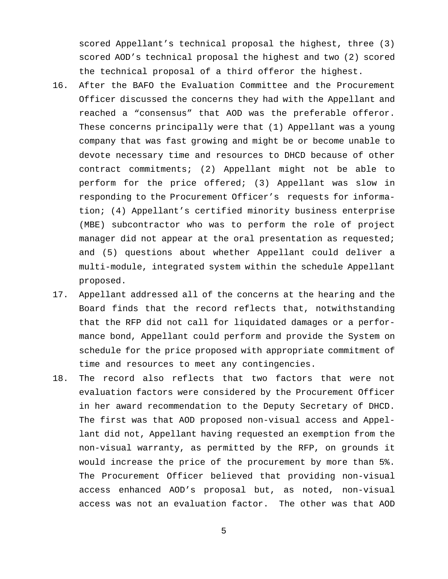scored Appellant's technical proposal the highest, three (3) scored AOD's technical proposal the highest and two (2) scored the technical proposal of a third offeror the highest.

- 16. After the BAFO the Evaluation Committee and the Procurement Officer discussed the concerns they had with the Appellant and reached a "consensus" that AOD was the preferable offeror. These concerns principally were that (1) Appellant was a young company that was fast growing and might be or become unable to devote necessary time and resources to DHCD because of other contract commitments; (2) Appellant might not be able to perform for the price offered; (3) Appellant was slow in responding to the Procurement Officer's requests for information; (4) Appellant's certified minority business enterprise (MBE) subcontractor who was to perform the role of project manager did not appear at the oral presentation as requested; and (5) questions about whether Appellant could deliver a multi-module, integrated system within the schedule Appellant proposed.
- 17. Appellant addressed all of the concerns at the hearing and the Board finds that the record reflects that, notwithstanding that the RFP did not call for liquidated damages or a performance bond, Appellant could perform and provide the System on schedule for the price proposed with appropriate commitment of time and resources to meet any contingencies.
- 18. The record also reflects that two factors that were not evaluation factors were considered by the Procurement Officer in her award recommendation to the Deputy Secretary of DHCD. The first was that AOD proposed non-visual access and Appellant did not, Appellant having requested an exemption from the non-visual warranty, as permitted by the RFP, on grounds it would increase the price of the procurement by more than 5%. The Procurement Officer believed that providing non-visual access enhanced AOD's proposal but, as noted, non-visual access was not an evaluation factor. The other was that AOD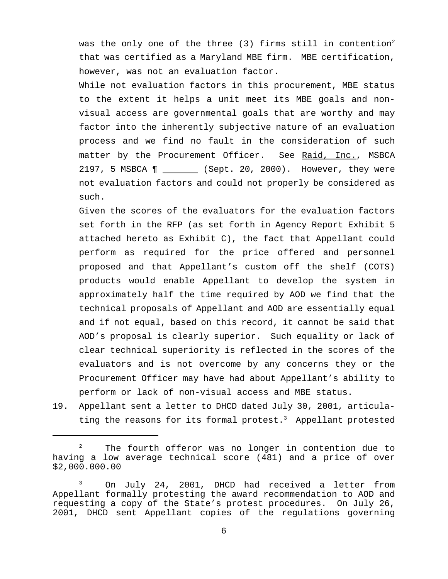was the only one of the three  $(3)$  firms still in contention<sup>2</sup> that was certified as a Maryland MBE firm. MBE certification, however, was not an evaluation factor.

While not evaluation factors in this procurement, MBE status to the extent it helps a unit meet its MBE goals and nonvisual access are governmental goals that are worthy and may factor into the inherently subjective nature of an evaluation process and we find no fault in the consideration of such matter by the Procurement Officer. See Raid, Inc., MSBCA 2197, 5 MSBCA ¶ (Sept. 20, 2000). However, they were not evaluation factors and could not properly be considered as such.

Given the scores of the evaluators for the evaluation factors set forth in the RFP (as set forth in Agency Report Exhibit 5 attached hereto as Exhibit C), the fact that Appellant could perform as required for the price offered and personnel proposed and that Appellant's custom off the shelf (COTS) products would enable Appellant to develop the system in approximately half the time required by AOD we find that the technical proposals of Appellant and AOD are essentially equal and if not equal, based on this record, it cannot be said that AOD's proposal is clearly superior. Such equality or lack of clear technical superiority is reflected in the scores of the evaluators and is not overcome by any concerns they or the Procurement Officer may have had about Appellant's ability to perform or lack of non-visual access and MBE status.

19. Appellant sent a letter to DHCD dated July 30, 2001, articulating the reasons for its formal protest. $3$  Appellant protested

<sup>&</sup>lt;sup>2</sup> The fourth offeror was no longer in contention due to having a low average technical score (481) and a price of over \$2,000.000.00

<sup>&</sup>lt;sup>3</sup> On July 24, 2001, DHCD had received a letter from Appellant formally protesting the award recommendation to AOD and requesting a copy of the State's protest procedures. On July 26, 2001, DHCD sent Appellant copies of the regulations governing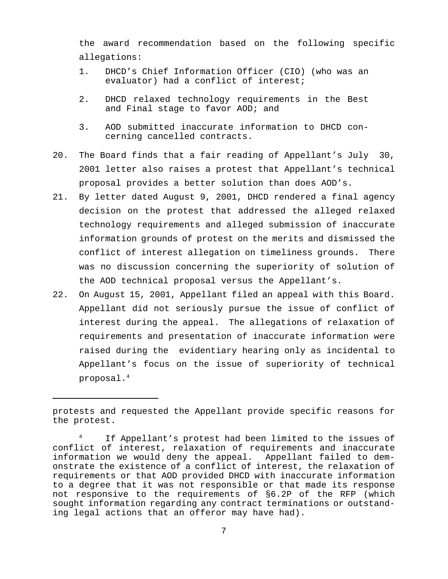the award recommendation based on the following specific allegations:

- 1. DHCD's Chief Information Officer (CIO) (who was an evaluator) had a conflict of interest;
- 2. DHCD relaxed technology requirements in the Best and Final stage to favor AOD; and
- 3. AOD submitted inaccurate information to DHCD concerning cancelled contracts.
- 20. The Board finds that a fair reading of Appellant's July 30, 2001 letter also raises a protest that Appellant's technical proposal provides a better solution than does AOD's.
- 21. By letter dated August 9, 2001, DHCD rendered a final agency decision on the protest that addressed the alleged relaxed technology requirements and alleged submission of inaccurate information grounds of protest on the merits and dismissed the conflict of interest allegation on timeliness grounds. There was no discussion concerning the superiority of solution of the AOD technical proposal versus the Appellant's.
- 22. On August 15, 2001, Appellant filed an appeal with this Board. Appellant did not seriously pursue the issue of conflict of interest during the appeal. The allegations of relaxation of requirements and presentation of inaccurate information were raised during the evidentiary hearing only as incidental to Appellant's focus on the issue of superiority of technical proposal.4

protests and requested the Appellant provide specific reasons for the protest.

If Appellant's protest had been limited to the issues of conflict of interest, relaxation of requirements and inaccurate information we would deny the appeal. Appellant failed to demonstrate the existence of a conflict of interest, the relaxation of requirements or that AOD provided DHCD with inaccurate information to a degree that it was not responsible or that made its response not responsive to the requirements of §6.2P of the RFP (which sought information regarding any contract terminations or outstanding legal actions that an offeror may have had).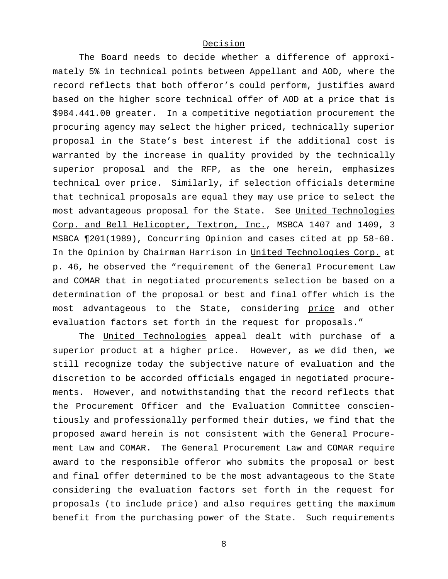### Decision

The Board needs to decide whether a difference of approximately 5% in technical points between Appellant and AOD, where the record reflects that both offeror's could perform, justifies award based on the higher score technical offer of AOD at a price that is \$984.441.00 greater. In a competitive negotiation procurement the procuring agency may select the higher priced, technically superior proposal in the State's best interest if the additional cost is warranted by the increase in quality provided by the technically superior proposal and the RFP, as the one herein, emphasizes technical over price. Similarly, if selection officials determine that technical proposals are equal they may use price to select the most advantageous proposal for the State. See United Technologies Corp. and Bell Helicopter, Textron, Inc., MSBCA 1407 and 1409, 3 MSBCA ¶201(1989), Concurring Opinion and cases cited at pp 58-60. In the Opinion by Chairman Harrison in United Technologies Corp. at p. 46, he observed the "requirement of the General Procurement Law and COMAR that in negotiated procurements selection be based on a determination of the proposal or best and final offer which is the most advantageous to the State, considering price and other evaluation factors set forth in the request for proposals."

The United Technologies appeal dealt with purchase of a superior product at a higher price. However, as we did then, we still recognize today the subjective nature of evaluation and the discretion to be accorded officials engaged in negotiated procurements. However, and notwithstanding that the record reflects that the Procurement Officer and the Evaluation Committee conscientiously and professionally performed their duties, we find that the proposed award herein is not consistent with the General Procurement Law and COMAR. The General Procurement Law and COMAR require award to the responsible offeror who submits the proposal or best and final offer determined to be the most advantageous to the State considering the evaluation factors set forth in the request for proposals (to include price) and also requires getting the maximum benefit from the purchasing power of the State. Such requirements

8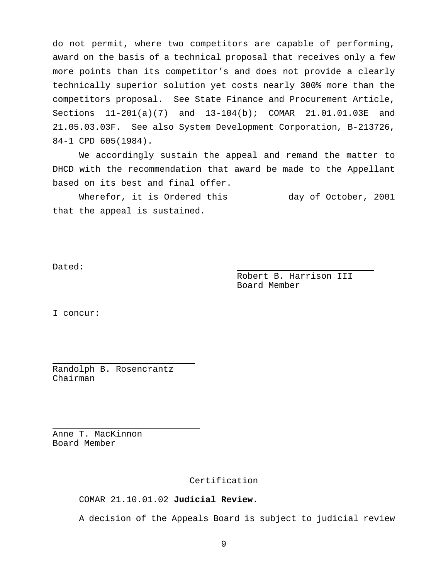do not permit, where two competitors are capable of performing, award on the basis of a technical proposal that receives only a few more points than its competitor's and does not provide a clearly technically superior solution yet costs nearly 300% more than the competitors proposal. See State Finance and Procurement Article, Sections 11-201(a)(7) and 13-104(b); COMAR 21.01.01.03E and 21.05.03.03F. See also System Development Corporation, B-213726, 84-1 CPD 605(1984).

We accordingly sustain the appeal and remand the matter to DHCD with the recommendation that award be made to the Appellant based on its best and final offer.

Wherefor, it is Ordered this day of October, 2001 that the appeal is sustained.

Dated:

Robert B. Harrison III Board Member

I concur:

J.

J.

Randolph B. Rosencrantz Chairman

Anne T. MacKinnon Board Member

Certification

COMAR 21.10.01.02 **Judicial Review.**

A decision of the Appeals Board is subject to judicial review